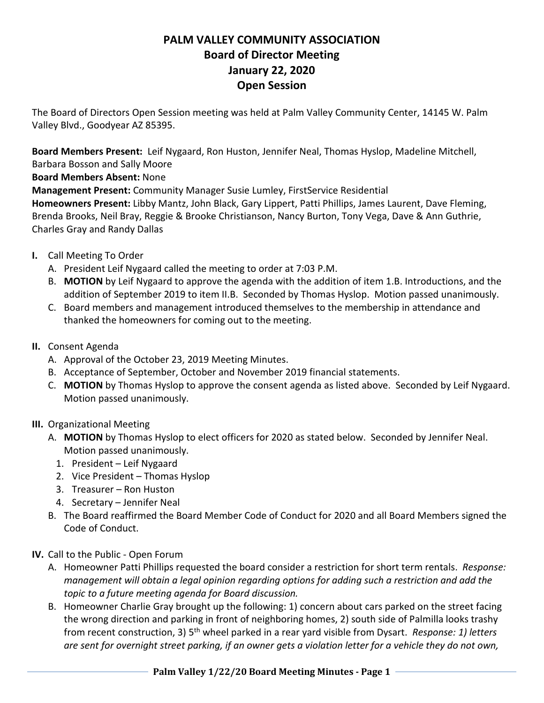## **PALM VALLEY COMMUNITY ASSOCIATION Board of Director Meeting January 22, 2020 Open Session**

The Board of Directors Open Session meeting was held at Palm Valley Community Center, 14145 W. Palm Valley Blvd., Goodyear AZ 85395.

**Board Members Present:** Leif Nygaard, Ron Huston, Jennifer Neal, Thomas Hyslop, Madeline Mitchell,

Barbara Bosson and Sally Moore

**Board Members Absent:** None

**Management Present:** Community Manager Susie Lumley, FirstService Residential

**Homeowners Present:** Libby Mantz, John Black, Gary Lippert, Patti Phillips, James Laurent, Dave Fleming, Brenda Brooks, Neil Bray, Reggie & Brooke Christianson, Nancy Burton, Tony Vega, Dave & Ann Guthrie, Charles Gray and Randy Dallas

- **I.** Call Meeting To Order
	- A. President Leif Nygaard called the meeting to order at 7:03 P.M.
	- B. **MOTION** by Leif Nygaard to approve the agenda with the addition of item 1.B. Introductions, and the addition of September 2019 to item II.B. Seconded by Thomas Hyslop. Motion passed unanimously.
	- C. Board members and management introduced themselves to the membership in attendance and thanked the homeowners for coming out to the meeting.
- **II.** Consent Agenda
	- A. Approval of the October 23, 2019 Meeting Minutes.
	- B. Acceptance of September, October and November 2019 financial statements.
	- C. **MOTION** by Thomas Hyslop to approve the consent agenda as listed above. Seconded by Leif Nygaard. Motion passed unanimously.
- **III.** Organizational Meeting
	- A. **MOTION** by Thomas Hyslop to elect officers for 2020 as stated below. Seconded by Jennifer Neal. Motion passed unanimously.
		- 1. President Leif Nygaard
		- 2. Vice President Thomas Hyslop
		- 3. Treasurer Ron Huston
		- 4. Secretary Jennifer Neal
	- B. The Board reaffirmed the Board Member Code of Conduct for 2020 and all Board Members signed the Code of Conduct.
- **IV.** Call to the Public Open Forum
	- A. Homeowner Patti Phillips requested the board consider a restriction for short term rentals. *Response: management will obtain a legal opinion regarding options for adding such a restriction and add the topic to a future meeting agenda for Board discussion.*
	- B. Homeowner Charlie Gray brought up the following: 1) concern about cars parked on the street facing the wrong direction and parking in front of neighboring homes, 2) south side of Palmilla looks trashy from recent construction, 3) 5th wheel parked in a rear yard visible from Dysart. *Response: 1) letters are sent for overnight street parking, if an owner gets a violation letter for a vehicle they do not own,*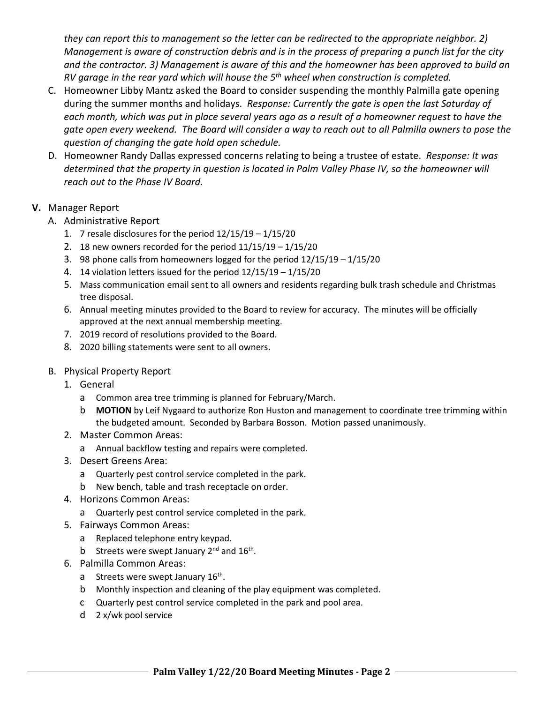*they can report this to management so the letter can be redirected to the appropriate neighbor. 2) Management is aware of construction debris and is in the process of preparing a punch list for the city and the contractor. 3) Management is aware of this and the homeowner has been approved to build an RV garage in the rear yard which will house the 5th wheel when construction is completed.*

- C. Homeowner Libby Mantz asked the Board to consider suspending the monthly Palmilla gate opening during the summer months and holidays. *Response: Currently the gate is open the last Saturday of each month, which was put in place several years ago as a result of a homeowner request to have the gate open every weekend. The Board will consider a way to reach out to all Palmilla owners to pose the question of changing the gate hold open schedule.*
- D. Homeowner Randy Dallas expressed concerns relating to being a trustee of estate. *Response: It was determined that the property in question is located in Palm Valley Phase IV, so the homeowner will reach out to the Phase IV Board.*
- **V.** Manager Report
	- A. Administrative Report
		- 1. 7 resale disclosures for the period 12/15/19 1/15/20
		- 2. 18 new owners recorded for the period 11/15/19 1/15/20
		- 3. 98 phone calls from homeowners logged for the period 12/15/19 1/15/20
		- 4. 14 violation letters issued for the period 12/15/19 1/15/20
		- 5. Mass communication email sent to all owners and residents regarding bulk trash schedule and Christmas tree disposal.
		- 6. Annual meeting minutes provided to the Board to review for accuracy. The minutes will be officially approved at the next annual membership meeting.
		- 7. 2019 record of resolutions provided to the Board.
		- 8. 2020 billing statements were sent to all owners.
	- B. Physical Property Report
		- 1. General
			- a Common area tree trimming is planned for February/March.
			- b **MOTION** by Leif Nygaard to authorize Ron Huston and management to coordinate tree trimming within the budgeted amount. Seconded by Barbara Bosson. Motion passed unanimously.
		- 2. Master Common Areas:
			- a Annual backflow testing and repairs were completed.
		- 3. Desert Greens Area:
			- a Quarterly pest control service completed in the park.
			- b New bench, table and trash receptacle on order.
		- 4. Horizons Common Areas:
			- a Quarterly pest control service completed in the park.
		- 5. Fairways Common Areas:
			- a Replaced telephone entry keypad.
			- b Streets were swept January  $2^{nd}$  and  $16^{th}$ .
		- 6. Palmilla Common Areas:
			- a Streets were swept January 16<sup>th</sup>.
			- b Monthly inspection and cleaning of the play equipment was completed.
			- c Quarterly pest control service completed in the park and pool area.
			- d 2 x/wk pool service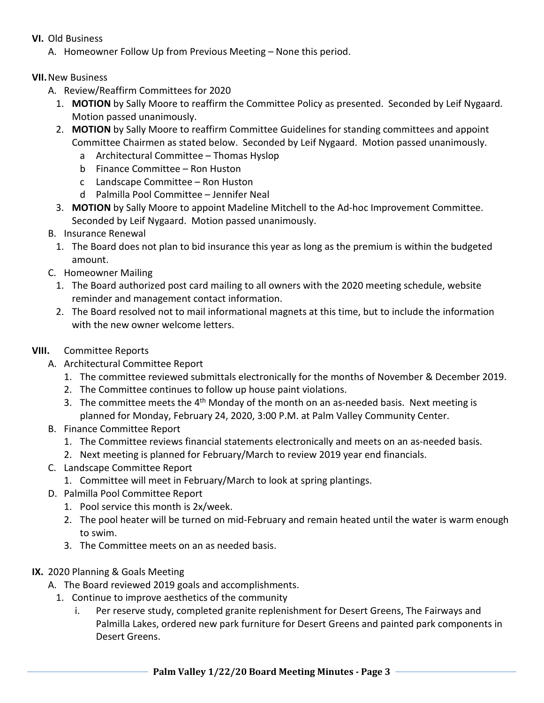- **VI.** Old Business
	- A. Homeowner Follow Up from Previous Meeting None this period.

## **VII.**New Business

- A. Review/Reaffirm Committees for 2020
	- 1. **MOTION** by Sally Moore to reaffirm the Committee Policy as presented. Seconded by Leif Nygaard. Motion passed unanimously.
	- 2. **MOTION** by Sally Moore to reaffirm Committee Guidelines for standing committees and appoint Committee Chairmen as stated below. Seconded by Leif Nygaard. Motion passed unanimously.
		- a Architectural Committee Thomas Hyslop
		- b Finance Committee Ron Huston
		- c Landscape Committee Ron Huston
		- d Palmilla Pool Committee Jennifer Neal
	- 3. **MOTION** by Sally Moore to appoint Madeline Mitchell to the Ad-hoc Improvement Committee. Seconded by Leif Nygaard. Motion passed unanimously.
- B. Insurance Renewal
	- 1. The Board does not plan to bid insurance this year as long as the premium is within the budgeted amount.
- C. Homeowner Mailing
	- 1. The Board authorized post card mailing to all owners with the 2020 meeting schedule, website reminder and management contact information.
	- 2. The Board resolved not to mail informational magnets at this time, but to include the information with the new owner welcome letters.

## **VIII.** Committee Reports

- A. Architectural Committee Report
	- 1. The committee reviewed submittals electronically for the months of November & December 2019.
	- 2. The Committee continues to follow up house paint violations.
	- 3. The committee meets the  $4<sup>th</sup>$  Monday of the month on an as-needed basis. Next meeting is planned for Monday, February 24, 2020, 3:00 P.M. at Palm Valley Community Center.
- B. Finance Committee Report
	- 1. The Committee reviews financial statements electronically and meets on an as-needed basis.
	- 2. Next meeting is planned for February/March to review 2019 year end financials.
- C. Landscape Committee Report
	- 1. Committee will meet in February/March to look at spring plantings.
- D. Palmilla Pool Committee Report
	- 1. Pool service this month is 2x/week.
	- 2. The pool heater will be turned on mid-February and remain heated until the water is warm enough to swim.
	- 3. The Committee meets on an as needed basis.
- **IX.** 2020 Planning & Goals Meeting
	- A. The Board reviewed 2019 goals and accomplishments.
		- 1. Continue to improve aesthetics of the community
			- i. Per reserve study, completed granite replenishment for Desert Greens, The Fairways and Palmilla Lakes, ordered new park furniture for Desert Greens and painted park components in Desert Greens.